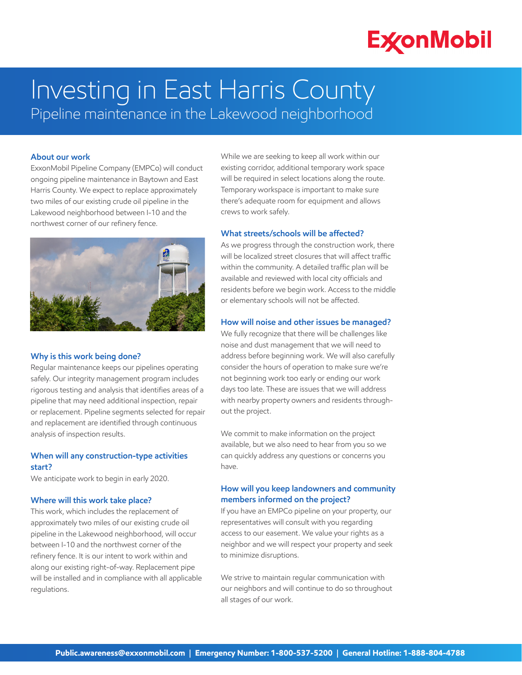# **ExconMobil**

# Investing in East Harris County Pipeline maintenance in the Lakewood neighborhood

### **About our work**

ExxonMobil Pipeline Company (EMPCo) will conduct ongoing pipeline maintenance in Baytown and East Harris County. We expect to replace approximately two miles of our existing crude oil pipeline in the Lakewood neighborhood between I-10 and the northwest corner of our refinery fence.



#### **Why is this work being done?**

Regular maintenance keeps our pipelines operating safely. Our integrity management program includes rigorous testing and analysis that identifies areas of a pipeline that may need additional inspection, repair or replacement. Pipeline segments selected for repair and replacement are identified through continuous analysis of inspection results.

### **When will any construction-type activities start?**

We anticipate work to begin in early 2020.

### **Where will this work take place?**

This work, which includes the replacement of approximately two miles of our existing crude oil pipeline in the Lakewood neighborhood, will occur between I-10 and the northwest corner of the refinery fence. It is our intent to work within and along our existing right-of-way. Replacement pipe will be installed and in compliance with all applicable regulations.

While we are seeking to keep all work within our existing corridor, additional temporary work space will be required in select locations along the route. Temporary workspace is important to make sure there's adequate room for equipment and allows crews to work safely.

#### **What streets/schools will be affected?**

As we progress through the construction work, there will be localized street closures that will affect traffic within the community. A detailed traffic plan will be available and reviewed with local city officials and residents before we begin work. Access to the middle or elementary schools will not be affected.

### **How will noise and other issues be managed?**

We fully recognize that there will be challenges like noise and dust management that we will need to address before beginning work. We will also carefully consider the hours of operation to make sure we're not beginning work too early or ending our work days too late. These are issues that we will address with nearby property owners and residents throughout the project.

We commit to make information on the project available, but we also need to hear from you so we can quickly address any questions or concerns you have.

# **How will you keep landowners and community members informed on the project?**

If you have an EMPCo pipeline on your property, our representatives will consult with you regarding access to our easement. We value your rights as a neighbor and we will respect your property and seek to minimize disruptions.

We strive to maintain regular communication with our neighbors and will continue to do so throughout all stages of our work.